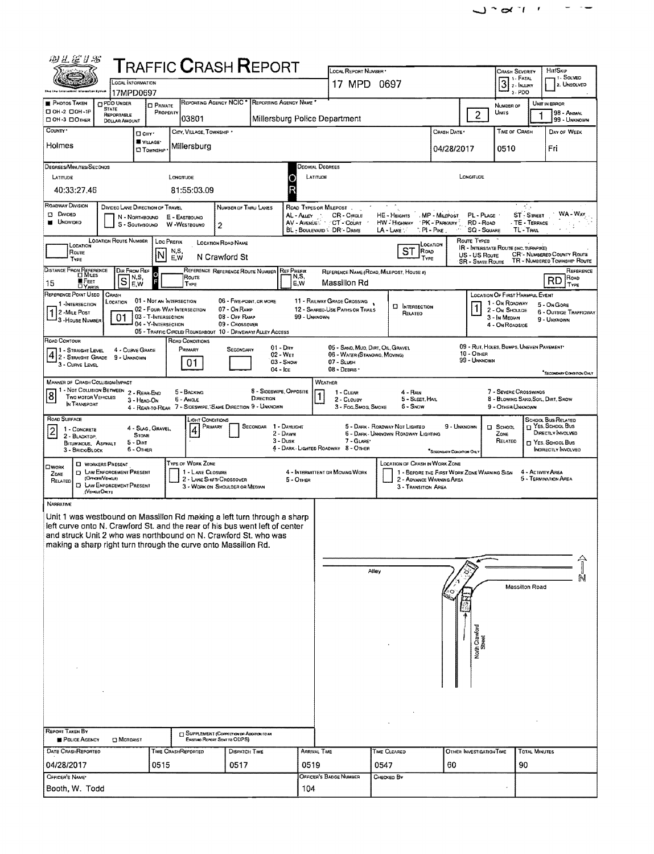| $\begin{array}{ccc} \searrow & \sim & \sim & \cdots \end{array}$ |  | $\sim$ $\sim$ $\sim$ |
|------------------------------------------------------------------|--|----------------------|
|                                                                  |  |                      |
|                                                                  |  |                      |
|                                                                  |  |                      |

| 四丛星1号                                                                                                                                                                                                    |                                                                                                                                                                                         |                                                              |                                                   |                    |                                       | <b>T</b> RAFFIC <b>C</b> RASH <b>R</b> EPORT                                 |                                    |                                                 |                                                                                                                                                                  |                                                                       |                                                                                      |                                     |                                                         |                                                 |                                                     |  |  |  |  |
|----------------------------------------------------------------------------------------------------------------------------------------------------------------------------------------------------------|-----------------------------------------------------------------------------------------------------------------------------------------------------------------------------------------|--------------------------------------------------------------|---------------------------------------------------|--------------------|---------------------------------------|------------------------------------------------------------------------------|------------------------------------|-------------------------------------------------|------------------------------------------------------------------------------------------------------------------------------------------------------------------|-----------------------------------------------------------------------|--------------------------------------------------------------------------------------|-------------------------------------|---------------------------------------------------------|-------------------------------------------------|-----------------------------------------------------|--|--|--|--|
|                                                                                                                                                                                                          | LOCAL INFORMATION                                                                                                                                                                       |                                                              |                                                   |                    |                                       |                                                                              | LOCAL REPORT NUMBER<br>17 MPD 0697 |                                                 |                                                                                                                                                                  | <b>CRASH SEVERITY</b><br>$3$ 2 - INJURY                               | 1 - FATAL                                                                            | Hit/Skip<br>1-SOLVED<br>2. UNSOLVED |                                                         |                                                 |                                                     |  |  |  |  |
|                                                                                                                                                                                                          |                                                                                                                                                                                         | 17MPD0697                                                    |                                                   |                    |                                       |                                                                              |                                    |                                                 |                                                                                                                                                                  |                                                                       |                                                                                      |                                     | a - PDO                                                 |                                                 |                                                     |  |  |  |  |
| $\blacksquare$ Photos Taken<br>O OH -2 OOH -1P                                                                                                                                                           |                                                                                                                                                                                         | <b>CIPDO UNDER</b><br>STATE<br>REPORTABLE                    | <b>D</b> PRIVATE                                  | PROPERTY           |                                       |                                                                              |                                    | REPORTING AGENCY NCIC * REPORTING AGENCY NAME * |                                                                                                                                                                  |                                                                       | $\overline{2}$                                                                       | NUMBER OF<br>UNITS                  |                                                         | UNIT IN ERROR<br>98 - ANIMAL                    |                                                     |  |  |  |  |
| DOH-3 DOMER<br>COUNTY <sup>*</sup>                                                                                                                                                                       |                                                                                                                                                                                         | DOLLAR AMOUNT                                                |                                                   |                    | 03801<br>CITY, VILLAGE, TOWNSHIP .    |                                                                              |                                    |                                                 | Millersburg Police Department                                                                                                                                    |                                                                       | CRASH DATE                                                                           |                                     | TIME OF CRASH                                           |                                                 | 99 - UNKNOWN<br>DAY OF WEEK                         |  |  |  |  |
| Holmes                                                                                                                                                                                                   |                                                                                                                                                                                         |                                                              | □ cm·<br>VILLAGE*                                 |                    | Millersburg                           |                                                                              |                                    |                                                 |                                                                                                                                                                  |                                                                       |                                                                                      |                                     |                                                         |                                                 |                                                     |  |  |  |  |
|                                                                                                                                                                                                          |                                                                                                                                                                                         |                                                              | <b>CI TOWNSHIP</b>                                |                    |                                       |                                                                              |                                    |                                                 |                                                                                                                                                                  |                                                                       | 04/28/2017                                                                           |                                     | 0510                                                    |                                                 | Fri                                                 |  |  |  |  |
| DEGREES/MINUTES/SECONDS<br>LATITUDE                                                                                                                                                                      |                                                                                                                                                                                         |                                                              |                                                   | LONGITUDE          |                                       |                                                                              |                                    |                                                 | Decimal Degrees                                                                                                                                                  |                                                                       |                                                                                      |                                     |                                                         |                                                 |                                                     |  |  |  |  |
| 40:33:27.46                                                                                                                                                                                              |                                                                                                                                                                                         |                                                              |                                                   |                    | 81:55:03.09                           |                                                                              |                                    | R                                               | LATITUDE<br>LONGITUDE                                                                                                                                            |                                                                       |                                                                                      |                                     |                                                         |                                                 |                                                     |  |  |  |  |
| ROADWAY DIVISION                                                                                                                                                                                         |                                                                                                                                                                                         | DIVIDEO LANE DIRECTION OF TRAVEL                             |                                                   |                    |                                       | NUMBER OF THRU LANES                                                         |                                    |                                                 | ROAD TYPES OR MILEPOST.                                                                                                                                          |                                                                       |                                                                                      |                                     |                                                         | -45                                             |                                                     |  |  |  |  |
| <b>DIVIDED</b><br><b>UNDIVIDED</b>                                                                                                                                                                       |                                                                                                                                                                                         |                                                              | N - NORTHBOUND<br>S - SOUTHBOUND                  | E - EASTBOUNG      |                                       |                                                                              |                                    | AL-Auev                                         | CR - Circle<br>AV - Avenue : CT - Count                                                                                                                          | HE - HEIGHTS<br>HW - Highway                                          | MP - MILEPOST<br>PK - PARKWAY                                                        | PL - PLACE<br>RD - Road             |                                                         | ST - STREET<br>TE - TERRACE                     | WA - WAY                                            |  |  |  |  |
| W -Westbound<br>$\tilde{z}$<br>BL - BOULEVARD \ DR - DRME<br>TL-TRAIL<br>LA - LANE<br>$\setminus$ PI - Pixe<br><b>SQ - SQUARE</b><br><b>LOCATION ROUTE NUMBER</b><br>ROUTE TYPES                         |                                                                                                                                                                                         |                                                              |                                                   |                    |                                       |                                                                              |                                    |                                                 |                                                                                                                                                                  |                                                                       |                                                                                      |                                     |                                                         |                                                 |                                                     |  |  |  |  |
| <b>Loc PREFIX</b><br><b>LOCATION ROAD NAME</b><br>LOCATION<br>LOCATION<br>IR - INTERSTATE ROUTE (INC. TURNPIKE)<br>ST<br>ROAD<br>N,S,<br>ROUTE                                                           |                                                                                                                                                                                         |                                                              |                                                   |                    |                                       |                                                                              |                                    |                                                 |                                                                                                                                                                  |                                                                       |                                                                                      |                                     |                                                         |                                                 |                                                     |  |  |  |  |
| M,<br>CR'- NUMBERED COUNTY ROUTE<br>US - US Route<br>N Crawford St<br>E.W<br>TYPE<br>TYPE<br>TR - NUMBERED TOWNSHIP ROUTE<br><b>SR - STATE ROUTE</b><br>REFERENCE REFERENCE ROUTE NUMBER<br>Dir From Ref |                                                                                                                                                                                         |                                                              |                                                   |                    |                                       |                                                                              |                                    |                                                 |                                                                                                                                                                  |                                                                       |                                                                                      | REFERENCE                           |                                                         |                                                 |                                                     |  |  |  |  |
| DISTANCE FROM REFERENCE<br>15                                                                                                                                                                            | MIFEET<br><b>DYARDS</b>                                                                                                                                                                 | $\overline{\mathsf{s}}$                                      | N,S,<br>E, W                                      |                    | Route<br>TYPE                         |                                                                              |                                    | <b>REF PREFIX</b><br>N,S,<br>E,W                | REFERENCE NAME (ROAD, MILEPOST, HOUSE #)<br>Massillon Rd                                                                                                         |                                                                       |                                                                                      |                                     |                                                         |                                                 | Road<br>RD<br>TYPE                                  |  |  |  |  |
| REFERENCE POINT USED                                                                                                                                                                                     |                                                                                                                                                                                         | CRASH<br>LOCATION                                            | 01 - NOT AN INTERSECTION                          |                    |                                       | 06 - FIVE-POINT, OR MORE                                                     |                                    |                                                 | 11 - RAILWAY GRADE CROSSING                                                                                                                                      |                                                                       |                                                                                      |                                     | LOCATION OF FIRST HARMFUL EVENT                         |                                                 |                                                     |  |  |  |  |
| 1 - INTERSECTION<br>2 - MILE POST                                                                                                                                                                        |                                                                                                                                                                                         |                                                              | 02 - Four-Way Intersection<br>03 - T-INTERSECTION |                    |                                       | 07 - On RAMP<br>08 - Off RAMP                                                |                                    | 99 - Unknown                                    | 12 - SHARED-USE PATHS OR TRAILS                                                                                                                                  | <b>D</b> INTERSECTION<br>RELATED                                      |                                                                                      |                                     | 1 - On ROADWAY<br>2 - On Shoulde                        |                                                 | 5 - On Gore<br><b>6 - OUTSIDE TRAFFICWAY</b>        |  |  |  |  |
| <sup>1</sup> 3 - House Number                                                                                                                                                                            |                                                                                                                                                                                         | 01                                                           | 04 - Y-INTERSECTION                               |                    |                                       | 09 - Crossover<br>05 - TRAFFIC CIRCLEI ROUNDABOUT 10 - DRIVEWAY ALLEY ACCESS |                                    |                                                 |                                                                                                                                                                  |                                                                       |                                                                                      |                                     |                                                         | 3 - In MEDIAN<br>9 - UNKNOWN<br>4 - On ROADSIDE |                                                     |  |  |  |  |
| ROAD CONTOUR                                                                                                                                                                                             |                                                                                                                                                                                         |                                                              |                                                   |                    | ROAD CONDITIONS                       |                                                                              |                                    | $01 - \text{Dry}$                               |                                                                                                                                                                  |                                                                       |                                                                                      |                                     |                                                         |                                                 |                                                     |  |  |  |  |
| 71 - Straight Level<br>$\left[4\right]$ 2 - Straight Grade<br>3 - CURVE LEVEL                                                                                                                            |                                                                                                                                                                                         | 4 - CURVE GRADE<br>9 - UNKNOWN                               |                                                   |                    | PRIMARY<br>01                         | SECONDARY                                                                    |                                    | $02 - W_{ET}$<br>$03 -$ Snow                    | 09 - RUT, HOLES, BUMPS, UNEVEN PAVEMENT<br>05 - SAND, MUO, DIRT, OIL, GRAVEL<br><b>10 - OTHER</b><br>06 - WATER (STANDING, MOVING)<br>99 - UNKNOWN<br>07 - SLUSH |                                                                       |                                                                                      |                                     |                                                         |                                                 |                                                     |  |  |  |  |
|                                                                                                                                                                                                          |                                                                                                                                                                                         |                                                              |                                                   |                    |                                       |                                                                              | 04 - Ice                           |                                                 | 08 - DEBRIS                                                                                                                                                      |                                                                       |                                                                                      |                                     |                                                         |                                                 | SECONDARY CONDITION ONLY                            |  |  |  |  |
|                                                                                                                                                                                                          | <b>MANNER OF CRASH COLLISION/MPACT</b><br>WEATHER<br>1 - Not Collision Between 2 - Rear-End<br>8 - SIOESWIPE, OPPOSITE<br>7 - SEVERE CROSSWINDS<br>5 - BACKING<br>1 - CLEAR<br>4 - Rain |                                                              |                                                   |                    |                                       |                                                                              |                                    |                                                 |                                                                                                                                                                  |                                                                       |                                                                                      |                                     |                                                         |                                                 |                                                     |  |  |  |  |
| 8 <br>IN TRANSPORT                                                                                                                                                                                       | Two MOTOR VEHICLES                                                                                                                                                                      |                                                              | 3 - HEAD-ON<br>4 - Rear-to-Rear                   |                    | 6 - Angle                             | 7 - SIDESWIPE, SAME DIRECTION 9 - UNKNOWN                                    | DIRECTION                          |                                                 | 2 - CLOUDY<br>3 - Fog.Smog.Smoke                                                                                                                                 | 6 - Snow                                                              | 5 - SLEET, HAIL                                                                      |                                     | 8 - BLOWING SAND, SOIL, DIRT, SNOW<br>9 - OTHER/UNKNOWN |                                                 |                                                     |  |  |  |  |
| ROAD SURFACE                                                                                                                                                                                             |                                                                                                                                                                                         |                                                              |                                                   |                    | .ight Conditions                      |                                                                              |                                    | 1 - DAYLIGHT                                    |                                                                                                                                                                  |                                                                       |                                                                                      |                                     |                                                         |                                                 | <b>SCHOOL BUS RELATED</b><br>$\Box$ Yes, School Bus |  |  |  |  |
| 1 - CONCRETE<br>$\overline{c}$<br>2 - BLACKTOP.                                                                                                                                                          |                                                                                                                                                                                         |                                                              | 4 - SLAG, GRAVEL,<br>STONE                        |                    | PRIMARY                               |                                                                              | Secondar                           | 2 - Dawn<br>$3 - D$ usk                         | 7 - GLARE                                                                                                                                                        | 5 - DARK - ROADWAY NOT LIGHTED<br>6 - DARK - UNKNOWN ROADWAY LIGHTING |                                                                                      | 9 - UNKNOWN                         | <b>D</b> SCHOOL<br>ZONE<br>RELATED                      |                                                 | DIRECTLY INVOLVED                                   |  |  |  |  |
| BITUMINOUS, ASPHALT<br>3 - BRICK BLOCK                                                                                                                                                                   |                                                                                                                                                                                         |                                                              | $5 -$ Dirt<br>6 - OTHER                           |                    |                                       |                                                                              |                                    |                                                 | 4 - DARK - LIGHTED ROADWAY 8 - OTHER                                                                                                                             |                                                                       | *SECONDARY CONDITION ONLY                                                            |                                     |                                                         |                                                 | T YES, SCHOOL BUS<br><b>INDIRECTLY INVOLVED</b>     |  |  |  |  |
| ⊡мокк                                                                                                                                                                                                    |                                                                                                                                                                                         | <b>D</b> WORKERS PRESENT<br><b>D</b> LAW ENFORCEMENT PRESENT |                                                   |                    | TYPE OF WORK ZONE<br>1 - LANE CLOSURE |                                                                              |                                    |                                                 | 4 - INTERMITTENT OR MOVING WORK                                                                                                                                  |                                                                       | <b>LOCATION OF CRASH IN WORK ZONE</b><br>1 - BEFORE THE FIRST WORK ZONE WARNING SIGN |                                     |                                                         | 4 - ACTIVITY AREA                               |                                                     |  |  |  |  |
| ZDNE<br>RELATED                                                                                                                                                                                          |                                                                                                                                                                                         | (Ornora/Veneze)<br><b>EI LAW ENFORCEMENT PRESENT</b>         |                                                   |                    |                                       | 2 - LANE SHIFT/ CROSSOVER<br>3 - WORK ON SHOULDER OR MEDIAN                  |                                    | $5 -$ Отнев                                     | 5 - TERMINATION AREA<br>2 - ADVANCE WARNING AREA<br>3 - TRANSITION AREA                                                                                          |                                                                       |                                                                                      |                                     |                                                         |                                                 |                                                     |  |  |  |  |
| <b>NARRATNE</b>                                                                                                                                                                                          | (VEHOLEOMY)                                                                                                                                                                             |                                                              |                                                   |                    |                                       |                                                                              |                                    |                                                 |                                                                                                                                                                  |                                                                       |                                                                                      |                                     |                                                         |                                                 |                                                     |  |  |  |  |
| Unit 1 was westbound on Massillon Rd making a left turn through a sharp                                                                                                                                  |                                                                                                                                                                                         |                                                              |                                                   |                    |                                       |                                                                              |                                    |                                                 |                                                                                                                                                                  |                                                                       |                                                                                      |                                     |                                                         |                                                 |                                                     |  |  |  |  |
| left curve onto N. Crawford St. and the rear of his bus went left of center<br>and struck Unit 2 who was northbound on N. Crawford St. who was                                                           |                                                                                                                                                                                         |                                                              |                                                   |                    |                                       |                                                                              |                                    |                                                 |                                                                                                                                                                  |                                                                       |                                                                                      |                                     |                                                         |                                                 |                                                     |  |  |  |  |
| making a sharp right turn through the curve onto Massillon Rd.                                                                                                                                           |                                                                                                                                                                                         |                                                              |                                                   |                    |                                       |                                                                              |                                    |                                                 |                                                                                                                                                                  |                                                                       |                                                                                      |                                     |                                                         |                                                 |                                                     |  |  |  |  |
|                                                                                                                                                                                                          |                                                                                                                                                                                         |                                                              |                                                   |                    |                                       |                                                                              |                                    |                                                 |                                                                                                                                                                  |                                                                       |                                                                                      |                                     |                                                         |                                                 |                                                     |  |  |  |  |
|                                                                                                                                                                                                          |                                                                                                                                                                                         |                                                              |                                                   |                    |                                       |                                                                              |                                    |                                                 |                                                                                                                                                                  | Alley                                                                 |                                                                                      |                                     |                                                         |                                                 |                                                     |  |  |  |  |
|                                                                                                                                                                                                          |                                                                                                                                                                                         |                                                              |                                                   |                    |                                       |                                                                              |                                    |                                                 |                                                                                                                                                                  |                                                                       |                                                                                      |                                     |                                                         | Massillon Road                                  |                                                     |  |  |  |  |
|                                                                                                                                                                                                          |                                                                                                                                                                                         |                                                              |                                                   |                    |                                       |                                                                              |                                    |                                                 |                                                                                                                                                                  |                                                                       |                                                                                      |                                     |                                                         |                                                 |                                                     |  |  |  |  |
|                                                                                                                                                                                                          |                                                                                                                                                                                         |                                                              |                                                   |                    |                                       |                                                                              |                                    |                                                 |                                                                                                                                                                  |                                                                       |                                                                                      |                                     |                                                         |                                                 |                                                     |  |  |  |  |
|                                                                                                                                                                                                          |                                                                                                                                                                                         |                                                              |                                                   |                    |                                       |                                                                              |                                    |                                                 |                                                                                                                                                                  |                                                                       |                                                                                      |                                     |                                                         |                                                 |                                                     |  |  |  |  |
|                                                                                                                                                                                                          |                                                                                                                                                                                         |                                                              |                                                   |                    |                                       |                                                                              |                                    |                                                 | North Crawfor<br>Street                                                                                                                                          |                                                                       |                                                                                      |                                     |                                                         |                                                 |                                                     |  |  |  |  |
|                                                                                                                                                                                                          |                                                                                                                                                                                         |                                                              |                                                   |                    |                                       |                                                                              |                                    |                                                 |                                                                                                                                                                  |                                                                       |                                                                                      |                                     |                                                         |                                                 |                                                     |  |  |  |  |
|                                                                                                                                                                                                          |                                                                                                                                                                                         |                                                              |                                                   |                    |                                       |                                                                              |                                    |                                                 |                                                                                                                                                                  |                                                                       |                                                                                      |                                     |                                                         |                                                 |                                                     |  |  |  |  |
|                                                                                                                                                                                                          |                                                                                                                                                                                         |                                                              |                                                   |                    |                                       |                                                                              |                                    |                                                 |                                                                                                                                                                  |                                                                       |                                                                                      |                                     |                                                         |                                                 |                                                     |  |  |  |  |
|                                                                                                                                                                                                          |                                                                                                                                                                                         |                                                              |                                                   |                    |                                       |                                                                              |                                    |                                                 |                                                                                                                                                                  |                                                                       |                                                                                      |                                     |                                                         |                                                 |                                                     |  |  |  |  |
| REPORT TAKEN BY                                                                                                                                                                                          |                                                                                                                                                                                         |                                                              |                                                   |                    |                                       | <b>FT SUPPLEMENT (Connection on Adolficial rain)</b>                         |                                    |                                                 |                                                                                                                                                                  |                                                                       |                                                                                      |                                     |                                                         |                                                 |                                                     |  |  |  |  |
| POLICE AGENCY<br>DATE CRASHREPORTED                                                                                                                                                                      |                                                                                                                                                                                         | <b>CI MOTORIST</b>                                           |                                                   | TIME CRASHREPORTED |                                       | EXISTING REPORT SENT TO ODPS)<br>DISPATCH TIME                               |                                    | <b>ARRIVAL TIME</b>                             |                                                                                                                                                                  | TIME CLEARED                                                          |                                                                                      | OTHER INVESTIGATION TIME            |                                                         | <b>TOTAL MINUTES</b>                            |                                                     |  |  |  |  |
| 04/28/2017                                                                                                                                                                                               |                                                                                                                                                                                         |                                                              | 0515                                              |                    |                                       | 0517                                                                         |                                    | 0519                                            |                                                                                                                                                                  | 0547                                                                  | 60                                                                                   |                                     |                                                         | 90                                              |                                                     |  |  |  |  |
| OFFICER'S NAME'                                                                                                                                                                                          |                                                                                                                                                                                         |                                                              |                                                   |                    |                                       |                                                                              |                                    |                                                 | Officer's Badge Number                                                                                                                                           | CHECKED BY                                                            |                                                                                      |                                     |                                                         |                                                 |                                                     |  |  |  |  |
| Booth, W. Todd                                                                                                                                                                                           |                                                                                                                                                                                         |                                                              |                                                   |                    |                                       |                                                                              |                                    | 104                                             |                                                                                                                                                                  |                                                                       |                                                                                      |                                     |                                                         |                                                 |                                                     |  |  |  |  |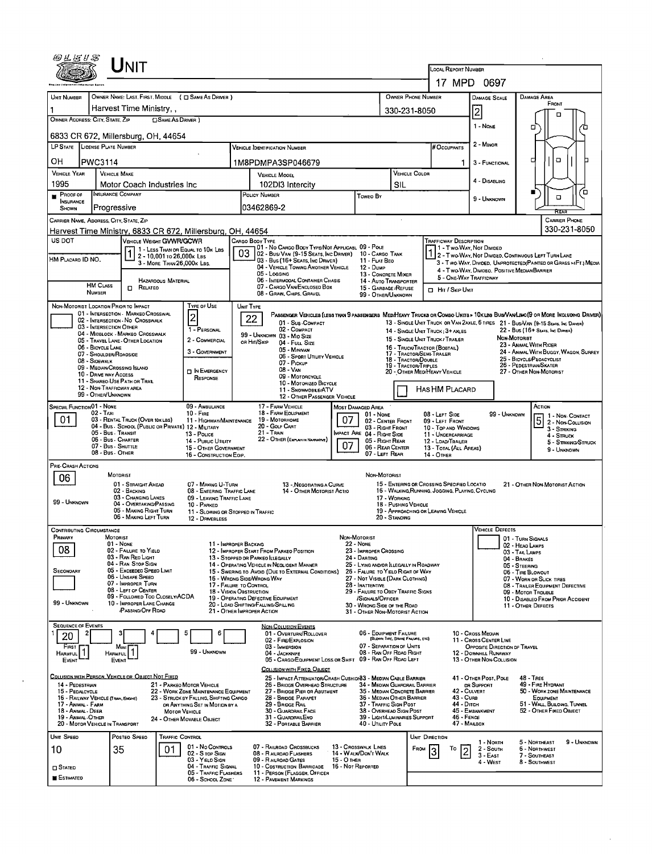|                                                                        | UNIT                                                                                    |                                                         |                                                                          |                                          |                                                                                               |                   |                                                                       |                                                               | LOCAL REPORT NUMBER                                              |                                                                                 |                                    |                                                                                                                               |  |  |  |
|------------------------------------------------------------------------|-----------------------------------------------------------------------------------------|---------------------------------------------------------|--------------------------------------------------------------------------|------------------------------------------|-----------------------------------------------------------------------------------------------|-------------------|-----------------------------------------------------------------------|---------------------------------------------------------------|------------------------------------------------------------------|---------------------------------------------------------------------------------|------------------------------------|-------------------------------------------------------------------------------------------------------------------------------|--|--|--|
|                                                                        |                                                                                         |                                                         |                                                                          |                                          |                                                                                               |                   |                                                                       |                                                               | 17 MPD 0697                                                      |                                                                                 |                                    |                                                                                                                               |  |  |  |
| UNIT NUMBER                                                            | OWNER NAME: LAST, FIRST, MIDDLE ( C SAME AS DRIVER )                                    |                                                         |                                                                          |                                          |                                                                                               |                   |                                                                       | OWNER PHONE NUMBER                                            |                                                                  | DAMAGE SCALE                                                                    |                                    | <b>DAMAGE AREA</b>                                                                                                            |  |  |  |
|                                                                        | Harvest Time Ministry,                                                                  |                                                         |                                                                          |                                          |                                                                                               |                   |                                                                       | 330-231-8050                                                  |                                                                  | FRONT<br>2<br>□                                                                 |                                    |                                                                                                                               |  |  |  |
| OWNER ADDRESS: CITY, STATE, ZIP<br>6833 CR 672, Millersburg, OH, 44654 |                                                                                         | SAME AS DRIVER )                                        |                                                                          |                                          |                                                                                               |                   |                                                                       |                                                               |                                                                  | 1 - Nove                                                                        |                                    | п                                                                                                                             |  |  |  |
| LP STATE LICENSE PLATE NUMBER                                          |                                                                                         |                                                         |                                                                          |                                          | Vehicle Identification Number                                                                 |                   |                                                                       |                                                               | # Occupants                                                      | 2 - MINOR                                                                       |                                    |                                                                                                                               |  |  |  |
| ΟН<br>PWC3114                                                          |                                                                                         |                                                         |                                                                          |                                          | 1M8PDMPA3SP046679                                                                             |                   |                                                                       |                                                               | 1                                                                | 3 - FUNCTIONAL                                                                  |                                    | o<br>□                                                                                                                        |  |  |  |
| <b>VEHICLE YEAR</b>                                                    | <b>VEHICLE MAKE</b>                                                                     |                                                         |                                                                          |                                          | <b>VEHICLE MOOEL</b>                                                                          |                   |                                                                       | VEHICLE COLOR                                                 |                                                                  |                                                                                 |                                    |                                                                                                                               |  |  |  |
| 1995                                                                   | Motor Coach Industries Inc.                                                             |                                                         |                                                                          | 102DI3 Intercity<br>SIL                  |                                                                                               |                   |                                                                       |                                                               |                                                                  | 4 - DISABLING                                                                   |                                    | ō                                                                                                                             |  |  |  |
| $P_{\text{ROOF OF}}$<br><b>INSURANCE</b><br>SHOWN                      | <b>INSURANCE COMPANY</b><br>Progressive                                                 |                                                         |                                                                          | POLICY NUMBER<br>Toweo By<br>103462869-2 |                                                                                               |                   |                                                                       |                                                               |                                                                  | 9 - UNKNOWN                                                                     |                                    | о                                                                                                                             |  |  |  |
| CARRIER NAME, ADORESS, CITY, STATE, ZIP                                |                                                                                         |                                                         |                                                                          |                                          |                                                                                               |                   |                                                                       |                                                               |                                                                  | Rear<br><b>CARRIER PHONE</b>                                                    |                                    |                                                                                                                               |  |  |  |
| Harvest Time Ministry, 6833 CR 672, Millersburg, OH, 44654             |                                                                                         |                                                         |                                                                          |                                          |                                                                                               |                   |                                                                       |                                                               |                                                                  |                                                                                 |                                    | 330-231-8050                                                                                                                  |  |  |  |
| US DOT                                                                 | VEHICLE WEIGHT GVWR/GCWR                                                                |                                                         | 1 - LESS THAN OR EQUAL TO 10K LBS                                        |                                          | CARGO BODY TYPE<br>I 01 - No Cargo Body Type/Not Applicasl 09 - Pole                          |                   |                                                                       |                                                               | <b>TRAFFICWAY DESCRIPTION</b><br>11 - Two Way, Not Divided       |                                                                                 |                                    |                                                                                                                               |  |  |  |
| HM Placard ID NO,                                                      |                                                                                         | 2 - 10,001 то 26,000к LBs<br>3 - MORE THAN 26,000K LBS. |                                                                          | 03                                       | 02 - Bus/Van (9-15 Seats, Inc Driver)<br>03 - Bus (16+ Seats, Inc Driver)                     |                   | 10 - CARGO TANK<br>11 - FLAT BEO                                      |                                                               |                                                                  |                                                                                 |                                    | 2 - Two Way, Not Divided, Continuous Left Turn Lane<br>3 - Two-WAY, DIVIDED, UNPROTECTED(PAINTED OR GRASS >4FT.) MEDIA        |  |  |  |
|                                                                        |                                                                                         |                                                         |                                                                          |                                          | 04 - VEHICLE TOWING ANOTHER VEHICLE<br>05 - Locging                                           |                   | 12 - DuмP<br>13 - CONCRETE MIXER                                      |                                                               | 5 - One-Way Trafficway                                           | 4 - T WO-WAY, DIVIDEO. POSITIVE MEDIAN BARRIER                                  |                                    |                                                                                                                               |  |  |  |
| <b>HM CLASS</b><br><b>NUMBER</b>                                       | $\Box$ Related                                                                          | HAZARDOUS MATERIAL                                      |                                                                          |                                          | 06 - INTERMODAL CONTAINER CHASIS<br>07 - CARGO VAN/ENCLOSED BOX                               |                   | 14 - Auto Transporter<br>15 - GARBAGE / REFUSE                        |                                                               | Hir / Skip Unit                                                  |                                                                                 |                                    |                                                                                                                               |  |  |  |
| NON-MOTORIST LOCATION PRIOR TO IMPACT                                  |                                                                                         |                                                         | TYPE OF USE                                                              | UNIT TYPE                                | 08 - GRAIN, CHIPS, GRAVEL                                                                     |                   | 99 - OTHER/UNKNOWN                                                    |                                                               |                                                                  |                                                                                 |                                    |                                                                                                                               |  |  |  |
|                                                                        | 01 - INTERSECTION - MARKEO CROSSWAL<br>02 - INTERSECTION - NO CROSSWALK                 |                                                         | $\overline{c}$                                                           |                                          | 22                                                                                            |                   |                                                                       |                                                               |                                                                  |                                                                                 |                                    | PASSENGER VEHICLES (LESS THAN 9 PASSENGERS MEDIMEAVY TRUCKS OR COMBO UNITS > 10X LBS BUS/VAN/LIMO(9 OR MORE INCLUDING DRIVER) |  |  |  |
|                                                                        | 03 - INTERSECTION OTHER<br>04 - MIDBLOCK - MARKEO CROSSWALK                             |                                                         | 1 - PERSONAL                                                             |                                          | 01 - Sus COMPACT<br>02 - COMPACT                                                              |                   |                                                                       |                                                               | 14 - SINGLE UNIT TRUCK; 3+ AXLES                                 |                                                                                 |                                    | 13 - SINGLE UNIT TRUCK OR VAN ZAXLE, 6 TIRES 21 - BUS/VAN (9-15 SEATS, INC DRIVER)<br>22 - BUS (16+ SEATS, INC DRIVER)        |  |  |  |
| 06 - BICYCLE LANE                                                      | 05 - TRAVEL LANE - OTHER LOCATION                                                       |                                                         | 2 - COMMERCIAL                                                           |                                          | 99 - UNKNOWN 03 - MID SIZE<br>OR HIT/SKIP<br>04 - FULL SIZE                                   |                   |                                                                       |                                                               | 15 - SINGLE UNIT TRUCK / TRAILER<br>16 - Truck/Tractor (BOBTAIL) |                                                                                 | <b>NON MOTORIST</b>                | 23 - Animal With Rider                                                                                                        |  |  |  |
| 08 - SIDEWALK                                                          | 07 - Shout DER/ROADSIDE                                                                 |                                                         | 3 - GOVERNMENT                                                           |                                          | 05 - Minivan<br>06 - SPORT UTILITY VEHICLE                                                    |                   |                                                                       | 17 - TRACTOR/SEMI-TRAILER<br>18 - Tractor/Double              |                                                                  |                                                                                 |                                    | 24 - ANIMAL WITH BUGGY, WAGON, SURREY<br>25 - BICYCLE/PEOACYCLIST                                                             |  |  |  |
|                                                                        | 09 - MEOIAN/CROSSING ISLAND<br>10 - DRIVE WAY ACCESS                                    |                                                         | IN EMERGENCY                                                             |                                          | 07 - Prckur<br>08 - VAN                                                                       |                   |                                                                       | 19 - TRACTOR/TRPLES                                           | 20 - OTHER MEDIHEAVY VEHICLE                                     |                                                                                 |                                    | 26 - PEDESTRIAN/SKATER<br>27 - OTHER NON-MOTORIST                                                                             |  |  |  |
|                                                                        | 11 - SHAREO-USE PATH OR TRAIL<br>12 - NON-TRAFFICWAY AREA                               |                                                         | RESPONSE                                                                 |                                          | 09 - MOTORCYCLE<br>10 - MOTORIZED BICYCLE                                                     |                   |                                                                       |                                                               |                                                                  |                                                                                 |                                    |                                                                                                                               |  |  |  |
| 99 - OTHER/UNKNOWN                                                     |                                                                                         |                                                         |                                                                          |                                          | 11 - SNOWMOBLE/ATV<br>12 - OTHER PASSENGER VEHICLE                                            |                   |                                                                       |                                                               | HAS HM PLACARD                                                   |                                                                                 |                                    |                                                                                                                               |  |  |  |
| SPECIAL FUNCTION 01 - NONE<br>$02 - T_A x_1$                           |                                                                                         |                                                         | 09 - AMBULANCE<br>$10 -$ Fire                                            |                                          | 17 - FARM VEHICLE<br>18 - FARM EOUPMENT                                                       |                   | Most Damaged Area<br>01 - None                                        |                                                               | $08 - L$ EFT SIDE                                                |                                                                                 | 99 - UNKNOWN                       | ACTION<br>1 - Non Contact                                                                                                     |  |  |  |
| 01                                                                     | 03 - RENTAL TRUCK (OVER 10K LBS)<br>04 - Bus - SCHOOL (PUBLIC OR PRIVATE) 12 - MILITARY |                                                         | 11 - HIGHWAY/MAINTENANCE                                                 |                                          | 19 - Мотовноме<br>20 - GOLF CART                                                              | 07                | 02 - CENTER FRONT<br>03 - RIGHT FRONT                                 |                                                               | 09 - LEFT FRONT<br>10 - Top and Windows                          |                                                                                 |                                    | 5 <br>2 - Non-Collision<br>3 - STRIKING                                                                                       |  |  |  |
|                                                                        | 05 - Bus - Transit<br>06 - Bus - Charter                                                |                                                         | 13 - POLICE<br>14 - PUBLIC UTILITY                                       |                                          | 21 - Train<br>22 - OTHER (EXPLAN IN NASPARYE)                                                 |                   | <b>IMPACT ARE 04 - RIGHT SIDE</b><br>05 - RIGHT REAR                  |                                                               | 11 - UNDERCARRIAGE<br>12 - LOAD/TRAILER                          |                                                                                 |                                    | 4 - STRUCK<br>5 - STRIKING/STRUCK                                                                                             |  |  |  |
|                                                                        | 07 - Bus - SHUTTLE<br>08 - Bus - OTHER                                                  |                                                         | 15 - OTHER GOVERNMENT<br>16 - CONSTRUCTION EOIP.                         |                                          |                                                                                               | 07                | 06 - REAR CENTER<br>07 - LEFT REAR                                    |                                                               | 13 - TOTAL (ALL AREAS)<br>14 - Отнев                             |                                                                                 |                                    | 9 - UNKNOWN                                                                                                                   |  |  |  |
| PRE-CRASH ACTIONS                                                      |                                                                                         |                                                         |                                                                          |                                          |                                                                                               |                   |                                                                       |                                                               |                                                                  |                                                                                 |                                    |                                                                                                                               |  |  |  |
| 06                                                                     | MOTORIST<br>01 - STRAIGHT AHEAD                                                         |                                                         | 07 - MAKING U-TURN                                                       |                                          | 13 - Negotiating a Curve                                                                      |                   | NON-MOTORIST                                                          |                                                               | 15 - ENTERING OR CROSSING SPECIFIED LOCATIO                      |                                                                                 |                                    | 21 - OTHER NON-MOTORIST ACTION                                                                                                |  |  |  |
|                                                                        | 02 - BACKING<br>03 - CHANGING LANES                                                     |                                                         | 08 - ENTERING TRAFFIC LANE<br>09 - LEAVING TRAFFIC LANE                  |                                          | 14 - OTHER MOTORIST ACTIO                                                                     |                   |                                                                       | 17 - WORKING                                                  | 16 - WALKING, RUNNING, JOGGING, PLAYING, CYCLING                 |                                                                                 |                                    |                                                                                                                               |  |  |  |
| 99 - UNKNOWN                                                           | 04 - OVERTAKING/PASSING<br>05 - MAKING RIGHT TURN                                       |                                                         | 10 - PARKED<br>11 - SLOWING OR STOPPED IN TRAFFIC                        |                                          |                                                                                               |                   |                                                                       | 18 - Pushing Vehicle                                          | 19 - APPROACHING OR LEAVING VEHICLE                              |                                                                                 |                                    |                                                                                                                               |  |  |  |
|                                                                        | 06 - MAKING LEFT TURN                                                                   |                                                         | 12 - DRIVERLESS                                                          |                                          |                                                                                               |                   |                                                                       | 20 - STANDING                                                 |                                                                  |                                                                                 |                                    |                                                                                                                               |  |  |  |
| <b>CONTRIBUTING CIRCUMSTANCE</b><br>Premary                            | MOTORIST                                                                                |                                                         |                                                                          |                                          |                                                                                               | NON-MOTORIST      |                                                                       |                                                               |                                                                  | <b>VEHICLE DEFECTS</b>                                                          | 01 - TURN SIGNALS                  |                                                                                                                               |  |  |  |
| 08                                                                     | 01 - NONE<br>02 - FAILURE TO YIELD                                                      |                                                         | 11 - IMPROPER BACKING                                                    |                                          | 12 - IMPROPER START FROM PARKED POSITION                                                      |                   | <b>22 - NONE</b><br>23 - IMPROPER CROSSING                            |                                                               |                                                                  |                                                                                 | 02 - HEAD LAMPS<br>03 - TAIL LAMPS |                                                                                                                               |  |  |  |
|                                                                        | 03 - Ran Red Light<br>04 - RAN Stop Sign                                                |                                                         |                                                                          |                                          | 13 - STOPPED OR PARKED LLEGALLY<br>14 - OPERATING VEHICLE IN NEGLIGENT MANNER                 |                   | 24 - Darieng<br>25 - LYING AND/OR ILLEGALLY IN ROADWAY                |                                                               |                                                                  |                                                                                 | 04 - BRAKES<br>05 - STEERING       |                                                                                                                               |  |  |  |
| <b>SECONDARY</b>                                                       | 05 - Exceeped Speed Limit<br>06 - UNSAFE SPEED<br>07 - IMPROPER TURN                    |                                                         |                                                                          |                                          | 15 - Swering to Avoid (Due to External Conditions)<br>16 - WRONG SIDE/WRONG WAY               |                   | 26 - FALURE TO YIELD RIGHT OF WAY<br>27 - Not Visible (Dark Clothing) |                                                               |                                                                  |                                                                                 | 06 - TIRE BLOWOUT                  | 07 - WORN OR SLICK TIRES                                                                                                      |  |  |  |
|                                                                        | 08 - LEFT OF CENTER<br>09 - Followed Too Closely/ACDA                                   |                                                         | 17 - FALURE TO CONTROL<br>18 - VISION OBSTRUCTION                        |                                          | 19 - OPERATING DEFECTIVE EQUIPMENT                                                            |                   | 28 - INATTENTIVE<br>29 - FAILURE TO OBEY TRAFFIC SIGNS                |                                                               |                                                                  |                                                                                 |                                    | 08 - TRAILER EQUIPMENT DEFECTIVE<br>09 - MOTOR TROUBLE                                                                        |  |  |  |
| 99 - UNKNOWN                                                           | 10 - IMPROPER LANE CHANGE<br><b>PASSING/OFF ROAD</b>                                    |                                                         |                                                                          |                                          | 20 - LOAD SHIFTING/FALLING/SPILLING<br>21 - OTHER IMPROPER ACTION                             |                   | /SIGNALS/OFFICER<br>30 - WRONG SIDE OF THE ROAD                       |                                                               |                                                                  |                                                                                 |                                    | 10 - DISABLED FROM PRIOR ACCIDENT<br>11 - OTHER DEFECTS                                                                       |  |  |  |
| <b>SEQUENCE OF EVENTS</b>                                              |                                                                                         |                                                         |                                                                          |                                          |                                                                                               |                   | 31 - OTHER NON-MOTORIST ACTION                                        |                                                               |                                                                  |                                                                                 |                                    |                                                                                                                               |  |  |  |
| 20                                                                     |                                                                                         |                                                         | 6                                                                        |                                          | <b>NON-COLLISION EVENTS</b><br>01 - OVERTURN/ROLLOVER                                         |                   | 06 - EQUIPMENT FAILURE                                                | (BLOWN TIRE, BRAKE FAILURE, ETC)                              |                                                                  | 10 - Cross Median                                                               |                                    |                                                                                                                               |  |  |  |
| FIRST                                                                  | Most <sub>1</sub>                                                                       |                                                         | 99 - Unknown                                                             |                                          | 02 - FIRE/EXPLOSION<br>03 - IMMERSION<br>04 - JACKKNIFE                                       |                   | 07 - SEPARATION OF UNITS                                              | 08 - RAN OFF ROAD RIGHT                                       |                                                                  | 11 - Cross CENTER LINE<br>OPPOSITE DIRECTION OF TRAVEL<br>12 - DOWNHILL RUNAWAY |                                    |                                                                                                                               |  |  |  |
| Harmful    <br>EVENT                                                   | Harmful    <br>EVENT                                                                    |                                                         |                                                                          |                                          | 05 - CARGO/EQUIPMENT LOSS OR SHIFT 09 - RAN OFF ROAD LEFT                                     |                   |                                                                       |                                                               |                                                                  | 13 - OTHER NON-COLLISION                                                        |                                    |                                                                                                                               |  |  |  |
| COLLISION WITH PERSON, VEHICLE OR OBJECT NOT FIXED                     |                                                                                         |                                                         |                                                                          |                                          | COLLISION WITH FIXED, OBJECT<br>25 - IMPACT ATTENUATOR/CRASH CUSHIDI83 - MEDIAN CABLE BARRIER |                   |                                                                       |                                                               |                                                                  | 41 - OTHER POST, POLE                                                           |                                    | $48 - 1$ REE                                                                                                                  |  |  |  |
| 14 - PEDESTRIAN<br>15 - PEDALCYCLE                                     |                                                                                         |                                                         | 21 - PARKEO MOTOR VEHICLE<br>22 - WORK ZONE MAINTENANCE EQUIPMENT        |                                          | 26 - BRIDGE OVERHEAD STRUCTURE<br>27 - BRIDGE PIER OR ABUTMENT                                |                   |                                                                       | 34 - MEDIAN GUARDRAIL BARRIER<br>35 - MEDIAN CONCRETE BARRIER |                                                                  | DR SUPPORT<br>42 - CULVERT                                                      |                                    | 49 - Fire Hydrant<br>50 - WORK ZONE MAINTENANCE                                                                               |  |  |  |
| 16 - RAILWAY VEHICLE (TRAIN, ENGINE)<br>17 - Animal - Farm             |                                                                                         |                                                         | 23 - STRUCK BY FALLING, SHIFTING CARGO<br>OR ANYTHING SET IN MOTION BY A |                                          | 28 - BRIOGE PARAPET<br>29 - BRIDGE RAIL                                                       |                   | 37 - TRAFFIC SIGN POST                                                | 36 - MEDIAN OTHER BARRIER                                     | 43 - Cuna<br>44 - Опсн                                           |                                                                                 |                                    | EQUIPMENT<br>51 - WALL BULONG, TUNNEL                                                                                         |  |  |  |
| 18 - ANMAL DEER<br>19 - ANMAL OTHER                                    |                                                                                         | MOTOR VEHICLE                                           | 24 - OTHER MOVABLE OBJECT                                                |                                          | 30 - GUARDRAIL FACE<br>31 - GUARDRAILEND                                                      |                   | 38 - OVERHEAD SIGN POST                                               | 39 - LIGHT/LUMINARIES SUPPORT                                 | $46 -$ FENCE                                                     | 45 - EMBANKMENT                                                                 |                                    | 52 - OTHER FIXED OBJECT                                                                                                       |  |  |  |
| 20 - MOTOR VEHICLE IN TRANSPORT                                        |                                                                                         |                                                         |                                                                          |                                          | 32 - PORTABLE BARRIER                                                                         |                   | 40 - UTILITY POLE                                                     |                                                               | 47 - MAILBOX                                                     |                                                                                 |                                    |                                                                                                                               |  |  |  |
| UNIT SPEED                                                             | POSTED SPEED                                                                            | Traffic Control                                         | 01 - No Contriols                                                        |                                          | 07 - RAILROAD CROSSBUCKS                                                                      |                   | 13 - CROSSWALK LINES                                                  | <b>FROM</b>                                                   | UNIT DIRECTION<br>Т٥                                             | 1 - North<br>2 - South                                                          |                                    | 9 - UNKNOWN<br>5 - NORTHEAST<br>6 - NORTHWEST                                                                                 |  |  |  |
| 10                                                                     | 35                                                                                      | 01                                                      | 02 - S TOP SIGN<br>03 - YIELD SIGN                                       |                                          | 08 - RAILROAD FLASHERS<br>09 - RAILROAD GATES                                                 | 15 - О тнев       | 14 - Walk/Don't Walk                                                  |                                                               | 3                                                                | $3 - EAST$<br>4 - WEST                                                          |                                    | 7 - SOUTHEAST<br>8 - SOUTHWEST                                                                                                |  |  |  |
| $\square$ Stated                                                       |                                                                                         |                                                         | 04 - TRAFFIC SIGNAL<br>05 - TRAFFIC FLASHERS                             |                                          | 10 - COSTRUCTION BARRICADE<br>11 - PERSON (FLAGGER, OFFICER                                   | 16 - Not Reported |                                                                       |                                                               |                                                                  |                                                                                 |                                    |                                                                                                                               |  |  |  |
| <b>ESTIMATED</b>                                                       |                                                                                         |                                                         | 06 - SCHOOL ZONE                                                         |                                          | 12 - PAVEMENT MARKINGS                                                                        |                   |                                                                       |                                                               |                                                                  |                                                                                 |                                    |                                                                                                                               |  |  |  |

 $\alpha$ 

l,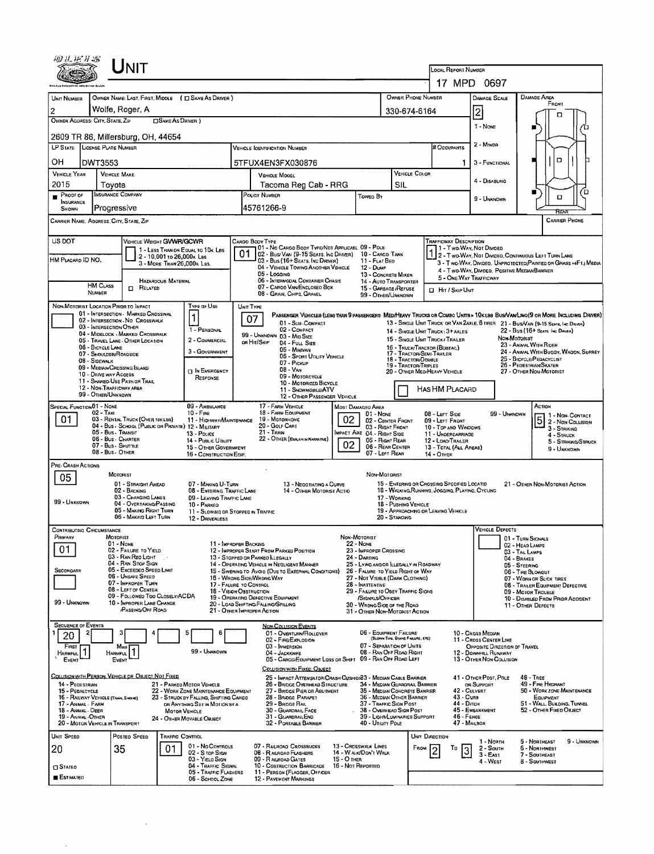| ゆせだれる<br>UNIT                                                                                                                         |                                                                                                                                          |                                                                                                                           |                                                                                                                              |  |  |  |  |  |
|---------------------------------------------------------------------------------------------------------------------------------------|------------------------------------------------------------------------------------------------------------------------------------------|---------------------------------------------------------------------------------------------------------------------------|------------------------------------------------------------------------------------------------------------------------------|--|--|--|--|--|
|                                                                                                                                       |                                                                                                                                          | LOCAL REPORT NUMBER                                                                                                       | 17 MPD 0697                                                                                                                  |  |  |  |  |  |
| OWNER NAME: LAST, FIRST, MIDDLE ( E SAME AS DRIVER )                                                                                  |                                                                                                                                          | OWNER PHONE NUMBER                                                                                                        | DAMAGE AREA<br><b>DAMAGE SCALE</b>                                                                                           |  |  |  |  |  |
| UNIT NUMBER<br>Wolfe, Roger, A<br>2                                                                                                   |                                                                                                                                          | 330-674-6164                                                                                                              | FRONT                                                                                                                        |  |  |  |  |  |
| OWNER ADDRESS: CITY, STATE, ZIP<br><b>CISAME AS DRIVER</b> )                                                                          |                                                                                                                                          |                                                                                                                           | 2<br>1 - None                                                                                                                |  |  |  |  |  |
| 2609 TR 86, Millersburg, OH, 44654                                                                                                    |                                                                                                                                          |                                                                                                                           |                                                                                                                              |  |  |  |  |  |
| LP STATE LICENSE PLATE NUMBER                                                                                                         | <b>VEHICLE IOENTIFICATION NUMBER</b>                                                                                                     | <b># Occupants</b>                                                                                                        | $2 -$ MINOR                                                                                                                  |  |  |  |  |  |
| ОН<br>DWT3553                                                                                                                         | 5TFUX4EN3FX030876                                                                                                                        | 1.                                                                                                                        | O<br>3 - FUNCTIONAL                                                                                                          |  |  |  |  |  |
| <b>VEHICLE YEAR</b><br><b>VEHICLE MAKE</b><br>2015<br>Tovota                                                                          | VEHICLE MODEL<br>Tacoma Reg Cab - RRG                                                                                                    | <b>VEHICLE COLOR</b><br>SIL                                                                                               | 4 - DISABLING                                                                                                                |  |  |  |  |  |
| <b>INSURANCE COMPANY</b><br>PROOFOF                                                                                                   | POLICY NUMBER<br>Toweo By                                                                                                                |                                                                                                                           | о<br>O<br>9 - UNKNOWN                                                                                                        |  |  |  |  |  |
| INSURANCE<br>Progressive<br>SHOWN                                                                                                     | 45761266-9                                                                                                                               |                                                                                                                           |                                                                                                                              |  |  |  |  |  |
| CARRIER NAME, ADDRESS, CITY, STATE, ZIP                                                                                               |                                                                                                                                          |                                                                                                                           | <b>CARRIER PHONE</b>                                                                                                         |  |  |  |  |  |
| US DOT<br>VEHICLE WEIGHT GVWR/GCWR                                                                                                    | CARGO BODY TYPE<br>01 - No CARGO BODY TYPE/NOT APPLICABL 09 - POLE                                                                       | <b>TRAFFICWAY DESCRIPTION</b>                                                                                             | 11 - Two-Way, Not Divided                                                                                                    |  |  |  |  |  |
| 1 - LESS THAN OR EQUAL TO 10K LBS<br>2 - 10,001 to 26,000x Las<br>HM Placard ID NO.<br>3 - MORE THAN 26,000K LBS.                     | 01<br>02 - Bus/Van (9-15 Seats, Ing Driver)<br>03 - Bus (16+ Seats, Inc Driver)<br>11 - FLAT BED                                         | 10 - CARGD TANK                                                                                                           | 2 - T WO-WAY, NOT DIVIDED, CONTINUOUS LEFT TURN LANE<br>3 - Two-WAY, Divideo, UNPROTECTED (PAINTED OF GRASS >4FT.) MEDIA     |  |  |  |  |  |
|                                                                                                                                       | 04 - VEHICLE TOWING ANOTHER VEHICLE<br>12 - Dump<br>05 - Logging                                                                         | 13 - CONCRETE MIXER<br>5 - ONE-WAY TRAFFICWAY                                                                             | 4 - Two-Way, Divided. Positive MediaNBARRIER                                                                                 |  |  |  |  |  |
| <b>HAZARDOUS MATERIAL</b><br><b>HM CLASS</b><br>$\Box$ Related<br><b>NUMBER</b>                                                       | 06 - INTERMODAL CONTAINER CHASIS<br>07 - CARGO VANIENCLOSED BOX                                                                          | 14 - AUTO TRANSPORTER<br>15 - GARBAGE / REFUSE<br><b>CI HIT / SKIP UNIT</b>                                               |                                                                                                                              |  |  |  |  |  |
| NON-MOTORIST LOCATION PRIDE TO IMPACT<br>TYPE OF USE                                                                                  | 08 - GRAIN, CHIPS, GRAVEL<br>UNIT TYPE                                                                                                   | 99 - OTHER/UNKNOWN                                                                                                        |                                                                                                                              |  |  |  |  |  |
| 01 - INTERSECTION - MARKED CROSSWAL<br>1<br>02 - INTERSECTION - NO CROSSWALK                                                          | 07                                                                                                                                       |                                                                                                                           | PASSENGER VEHICLES (LESS THAN 9 PASSENGERS MEDIMEAVY TRUCKS OR COMBO UNITS > 10KLBS BUS/VAN/LIMO(9 OR MORE INCLUDING DRIVER) |  |  |  |  |  |
| 03 - INTERSECTION OTHER<br>1 - PERSONAL<br>04 - MIDBLOCK - MARKED CROSSWALK                                                           | 01 - SUB COMPACT<br>02 - COMPACT<br>99 - UNKNOWN 03 - Mio Size                                                                           | 14 - SINGLE UNIT TRUCK; 3+ AXLES                                                                                          | 13 - SINGLE UNIT TRUCK OR VAN 2AXLE, 6 TIRES 21 - BUS/VAN (9-15 SEATS, INC DRIVER)<br>22 - Bus (16+ Seats, Inc. Driver)      |  |  |  |  |  |
| 2 - COMMERCIAL<br>05 - TRAVEL LANE - OTHER LOCATION<br>06 - BICYCLE LANE<br>3 - GOVERNMENT                                            | on Hit/Skip<br>04 - FULL SIZE<br>05 - MINIVAN                                                                                            | 15 - SINGLE UNIT TRUCK / TRAILER<br>16 - TRUCK/TRACTOR (BOBTAIL)                                                          | Non-Motorist<br>23 - ANIMAL WITH RIDER                                                                                       |  |  |  |  |  |
| 07 - SHOULDER/ROADSIDE<br>08 - SIDEWALK                                                                                               | 06 - Sport Utility Vehicle<br>07 - Pickup                                                                                                | 17 - TRACTOR/SEMI-TRALER<br>18 - TRACTOR/DOUBLE<br>19 - TRACTOR/TRIPLES                                                   | 24 - ANIMAL WITH BUGGY, WAGON, SURREY<br>25 - BICYCLE/PEDACYCLIST<br>26 - Pedestrian/Skater                                  |  |  |  |  |  |
| 09 - MEDIAN CROSSING ISLAND<br><b>IN EMERGENCY</b><br>10 - DRNE WAY ACCESS<br>RESPONSE                                                | $08 - VAN$<br>09 - MOTORCYCLE                                                                                                            | 20 - OTHER MEDIHEAVY VEHICLE                                                                                              | 27 - OTHER NON-MOTORIST                                                                                                      |  |  |  |  |  |
| 11 - SHARED-USE PATH OR TRAIL<br>12 - NON-TRAFFICWAY AREA<br>99 - OTHER/UNKNOWN                                                       | 10 - Motorized Bicycle<br>11 - SNOWMOBILEATV                                                                                             | HAS HM PLACARD                                                                                                            |                                                                                                                              |  |  |  |  |  |
| SPECIAL FUNCTION 01 - NONE<br>09 - AMBULANCE                                                                                          | 12 - OTHER PASSENGER VEHICLE<br>17 - FARM VEHICLE<br>MOST DAMAGED AREA                                                                   |                                                                                                                           | ACTION                                                                                                                       |  |  |  |  |  |
| $02 - 1$ AX<br>$10 -$ Fire<br>01<br>03 - RENTAL TRUCK (OVER 10K LBS)<br>11 - HIGHWAY/MAINTENANCE                                      | 18 - FARM EQUIPMENT<br>01 - NONE<br>02<br>19 - Мотояноме                                                                                 | O8 - LEFT SIDE<br>02 - CENTER FRONT<br>09 - LEFT FRONT                                                                    | 99 - UNKNOWN<br>1 - NON-CONTACT<br>$\overline{5}$<br>2 - Non-Collision                                                       |  |  |  |  |  |
| 04 - Bus - SCHOOL (PUBLIC OR PRIVATE) 12 - MILITARY<br>05 - Bus - Transit<br>13 - POLICE<br>06 - Bus - Charter                        | 20 - Golf Cart<br>$21 - Trans$<br>MPACT ARE 04 - RIGHT SIDE<br>22 - OTHER (EXPLANDINARRATIVE)                                            | 03 - RIGHT FRONT<br>10 - TOP AND WINDOWS<br>11 - UNDERCARRIAGE                                                            | 3 - STRIKING<br>$4 -$ Struck                                                                                                 |  |  |  |  |  |
| 14 - Public Utruty<br>07 - Bus - SHUTTLE<br>15 - OTHER GOVERNMENT<br>08 - Bus OTHER<br>16 - CONSTRUCTION EOIP,                        | 02                                                                                                                                       | 05 - RIGHT REAR<br>12 - LOAO/TRAILER<br>06 - REAR CENTER<br>13 - TOTAL (ALL AREAS)<br>07 - LEFT REAR<br><b>14 - OTHER</b> | 5 - STRIKING/STRUCK<br>9 - Unknown                                                                                           |  |  |  |  |  |
| PRE- CRASH ACTIONS                                                                                                                    |                                                                                                                                          |                                                                                                                           |                                                                                                                              |  |  |  |  |  |
| MOTORIST<br>05<br>01 - STRAIGHT AHEAD<br>07 - MAKING U-TURN                                                                           | 13 - Negotiating a Curve                                                                                                                 | NON-MOTORIST<br>15 - ENTERING OR CROSSING SPECIFIED LOCATIO                                                               | 21 - OTHER NON-MOTORIST ACTION                                                                                               |  |  |  |  |  |
| 02 - BACKING<br>08 - ENTERING TRAFFIC LANE<br>03 - CHANGING LANES<br>09 - LEAVING TRAFFIC LANE                                        | 14 - OTHER MOTORIST ACTIO                                                                                                                | 16 - WALKING, RUNNING, JOGGING, PLAYING, CYCLING<br>17 - WORKING                                                          |                                                                                                                              |  |  |  |  |  |
| 99 - UNKNOWN<br>04 - OVERTAKING/PASSING<br>10 - PARKED<br>05 - MAKING RIGHT TURN                                                      | 11 - SLOWING OR STOPPED IN TRAFFIC                                                                                                       | 18 - PUSHING VEHICLE<br>19 - APPROACHING OR LEAVING VEHICLE                                                               |                                                                                                                              |  |  |  |  |  |
| 06 - MAKING LEFT TURN<br>12 - DRIVERLESS                                                                                              |                                                                                                                                          | 20 - STANDING                                                                                                             | <b>VEHICLE DEFECTS</b>                                                                                                       |  |  |  |  |  |
| <b>CONTRIBUTING CIRCUMSTANCE</b><br>PRIMARY<br>MOTORIST<br>01 - None                                                                  | NON-MOTORIST<br>22 - NONE<br>11 - IMPROPER BACKING                                                                                       |                                                                                                                           | 01 - TURN SIGNALS                                                                                                            |  |  |  |  |  |
| 01<br>02 - FAILURE TO YIELD<br>03 - Ran Reo Light                                                                                     | 12 - IMPROPER START FROM PARKED POSITION<br>23 - IMPROPER CROSSING<br>24 - DARTING<br>13 - Stopped or Parked LLEGALLY                    |                                                                                                                           | 02 - HEAD LAMPS<br>03 - TAIL LAMPS<br>04 - BRAKES                                                                            |  |  |  |  |  |
| 04 - RAN STOP SIGN<br>05 - Exceeped Speep Limit<br>SECONDARY                                                                          | 14 - OPERATING VEHICLE IN NEGLIGENT MANNER<br>15 - Swering to Avoid (Due to External Conditions)                                         | 25 - LYING ANO/OR LLEGALLY IN ROADWAY<br>26 - FALURE TO YIELD RIGHT OF WAY                                                | 05 - STEERING<br>06 - TIRE BLOWOUT                                                                                           |  |  |  |  |  |
| 06 - UNSAFE SPEED<br>07 - IMPROPER TURN                                                                                               | 16 - WRONG SIDE/WRONG WAY<br>28 - INATTENTIVE<br>17 - FALURE TO CONTROL                                                                  | 27 - NOT VISIBLE (DARK CLOTHING)                                                                                          | 07 - WORN OR SLICK TIRES<br>08 - TRAILER EQUIPMENT DEFECTIVE                                                                 |  |  |  |  |  |
| 08 - LEFT OF CENTER<br>09 - FOLLOWED TOO CLOSELY/ACDA<br>99 - UNKNOWN                                                                 | 18 - VISION OBSTRUCTION<br>19 - OPERATING DEFECTIVE EQUIPMENT<br>/SIGNALS/OFFICER                                                        | 29 - FAILURE TO OBEY TRAFFIC SIGNS                                                                                        | 09 - MOTOR TROUBLE<br>10 - DISABLED FROM PRIOR ACCIDENT                                                                      |  |  |  |  |  |
| 10 - IMPROPER LANE CHANGE<br>/PASSING/OFF ROAD                                                                                        | 20 - LOAD SHIFTING/FALLING/SPILLING<br>21 - Отнея Імряорея Астіон                                                                        | 30 - WRONG SIDE OF THE ROAD<br>31 - OTHER NON-MOTORIST ACTION                                                             | 11 - OTHER DEFECTS                                                                                                           |  |  |  |  |  |
| <b>SEQUENCE OF EVENTS</b><br>5<br>6                                                                                                   | <b>NON-COLLISION EVENTS</b><br>01 - OVERTURN/ROLLOVER                                                                                    | 06 - EQUIPMENT FAILURE                                                                                                    | 10 - Cross Median                                                                                                            |  |  |  |  |  |
| 20<br>FIRST<br>Most                                                                                                                   | 02 - FIRE/EXPLOSION<br>03 - IMMERSION                                                                                                    | (BLOWN TIRE, BRAKE FAILURE, ETC)<br>07 - SEPARATION OF UNITS                                                              | 11 - CROSS CENTER LINE<br>OPPOSITE DIRECTION OF TRAVEL                                                                       |  |  |  |  |  |
| 99 - UNKNOWN<br><b>HARMFUL</b><br><b>HARMFUL</b><br>EVENT<br>EVENT                                                                    | 04 - JACKKNIFE<br>05 - CARGO/EOU/PMENT LOSS OR SHIFT 09 - RAN OFF ROAD LEFT                                                              | 08 - RAN OFF ROAD RIGHT                                                                                                   | 12 - DOWNHILL RUNAWAY<br>13 - OTHER NON-COLLISION                                                                            |  |  |  |  |  |
| COLLISION WITH PERSON, VEHICLE OR OBJECT NOT FIXED                                                                                    | COLUSION WITH FIXED, OBJECT                                                                                                              |                                                                                                                           |                                                                                                                              |  |  |  |  |  |
| 14 - PEOESTRIAN<br>21 - PARKED MOTOR VEHICLE<br>15 - PEDALCYCLE<br>22 - WORK ZONE MAINTENANCE EQUIPMENT                               | 25 - IMPACT ATTENUATOR/CRASH CUSHION33 - MEDIAN CABLE BARRIER<br>26 - BRIDGE OVERHEAD STRUCTURE<br>27 - BRIDGE PIER OR ABUTMENT          | 34 - MEDIAN GUARDRAIL BARRIER<br>35 - MEDIAN CONCRETE BARRIER                                                             | 41 - OTHER POST, POLE<br><b>48 - TREE</b><br>49 - FIRE HYDRANT<br>OR SUPPORT<br>42 - CULVERT<br>50 - WORK ZONE MAINTENANCE   |  |  |  |  |  |
| 23 - STRUCK BY FALLING, SHIFTING CARGO<br>16 - RAILWAY VEHICLE (TRAN, ENGINE)<br>17 - Animal - Farm<br>OR ANYTHING SET IN MOTION BY A | 28 - BROGE PARAPET<br>29 - BRIDGE RAIL                                                                                                   | 36 - MEDIAN OTHER BARRIER<br>43 - Cura<br>37 - TRAFFIC SIGN POST<br>44 - Олсн                                             | EQUIPMENT<br>51 - Wall, Bulding, Tunnel                                                                                      |  |  |  |  |  |
| 18 - ANMAL - DEER<br><b>MOTOR VEHICLE</b><br>19 - ANIMAL -OTHER<br>24 - OTHER MOVABLE OBJECT                                          | 30 - GUARDRAIL FACE<br>31 - GUARDRAILEND                                                                                                 | 38 - Overhisao Sign Post<br>39 - LIGHT/LUMINARIES SUPPORT<br>46 - FENCE                                                   | 45 - Емванкмент<br>52 - OTHER FIXED OBJECT                                                                                   |  |  |  |  |  |
| 20 - MOTOR VEHICLE IN TRANSPORT<br>TRAFFIC CONTROL<br>UNIT SPEED<br>POSTED SPEED                                                      | 32 - PORTABLE BARRIER                                                                                                                    | 40 - UTILITY POLE<br>UNIT DIRECTION                                                                                       | <b>47 - MAILBOX</b>                                                                                                          |  |  |  |  |  |
| 01 - No CONTROLS<br>20<br>35<br>01                                                                                                    | 07 - RAILROAD CROSSBUCKS<br>13 - Crosswalk Lines                                                                                         | FROM<br>To<br>3                                                                                                           | 9 - Unknown<br>1 - North<br>5 - Northeast<br>$2 -$ South<br>6 - NORTHWEST                                                    |  |  |  |  |  |
| 02 - S rop Sign<br>03 - Yield Sign<br>04 - TRAFFIC SIGNAL<br><b>CI STATED</b>                                                         | 14 - WALK/DON'T WALK<br>08 - RALADAO FLASHERS<br>09 - R ALROAD GATES<br>$15 - O$ then<br>16 - Not Reported<br>10 - COSTRUCTION BARRICADE |                                                                                                                           | $3 - EAST$<br>7 - SOUTHEAST<br>4 - West<br>8 - SOUTHWEST                                                                     |  |  |  |  |  |
| 05 - TRAFFIC FLASHERS<br><b>ESTIMATED</b><br>06 - SCHOOL ZONE                                                                         | 11 - Person (Flagger, Officer<br>12 - PAVEMENT MARKINGS                                                                                  |                                                                                                                           |                                                                                                                              |  |  |  |  |  |

 $\hat{\mathcal{A}}$